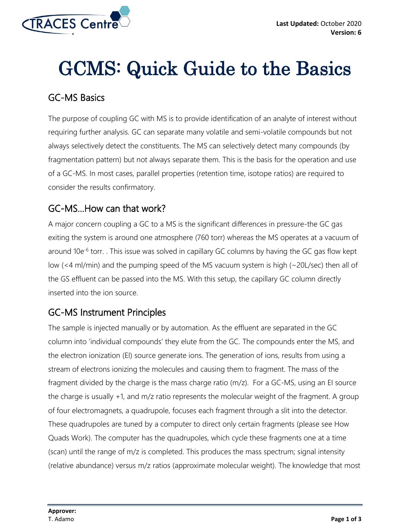

# GCMS: Quick Guide to the Basics

#### GC-MS Basics

The purpose of coupling GC with MS is to provide identification of an analyte of interest without requiring further analysis. GC can separate many volatile and semi-volatile compounds but not always selectively detect the constituents. The MS can selectively detect many compounds (by fragmentation pattern) but not always separate them. This is the basis for the operation and use of a GC-MS. In most cases, parallel properties (retention time, isotope ratios) are required to consider the results confirmatory.

# GC-MS…How can that work?

A major concern coupling a GC to a MS is the significant differences in pressure-the GC gas exiting the system is around one atmosphere (760 torr) whereas the MS operates at a vacuum of around 10e<sup>-6</sup> torr. . This issue was solved in capillary GC columns by having the GC gas flow kept low (<4 ml/min) and the pumping speed of the MS vacuum system is high (~20L/sec) then all of the GS effluent can be passed into the MS. With this setup, the capillary GC column directly inserted into the ion source.

# GC-MS Instrument Principles

The sample is injected manually or by automation. As the effluent are separated in the GC column into 'individual compounds' they elute from the GC. The compounds enter the MS, and the electron ionization (EI) source generate ions. The generation of ions, results from using a stream of electrons ionizing the molecules and causing them to fragment. The mass of the fragment divided by the charge is the mass charge ratio (m/z). For a GC-MS, using an EI source the charge is usually +1, and m/z ratio represents the molecular weight of the fragment. A group of four electromagnets, a quadrupole, focuses each fragment through a slit into the detector. These quadrupoles are tuned by a computer to direct only certain fragments (please see How Quads Work). The computer has the quadrupoles, which cycle these fragments one at a time (scan) until the range of m/z is completed. This produces the mass spectrum; signal intensity (relative abundance) versus m/z ratios (approximate molecular weight). The knowledge that most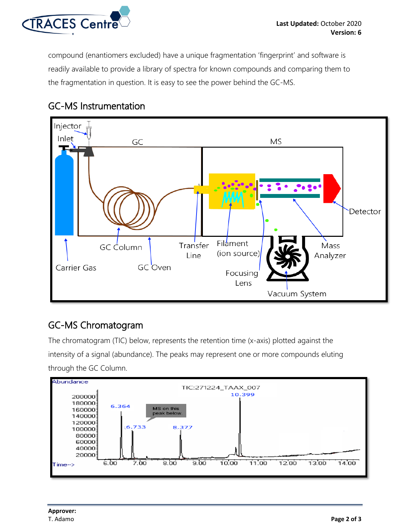

compound (enantiomers excluded) have a unique fragmentation 'fingerprint' and software is readily available to provide a library of spectra for known compounds and comparing them to the fragmentation in question. It is easy to see the power behind the GC-MS.

# GC-MS Instrumentation



# GC-MS Chromatogram

The chromatogram (TIC) below, represents the retention time (x-axis) plotted against the intensity of a signal (abundance). The peaks may represent one or more compounds eluting through the GC Column.